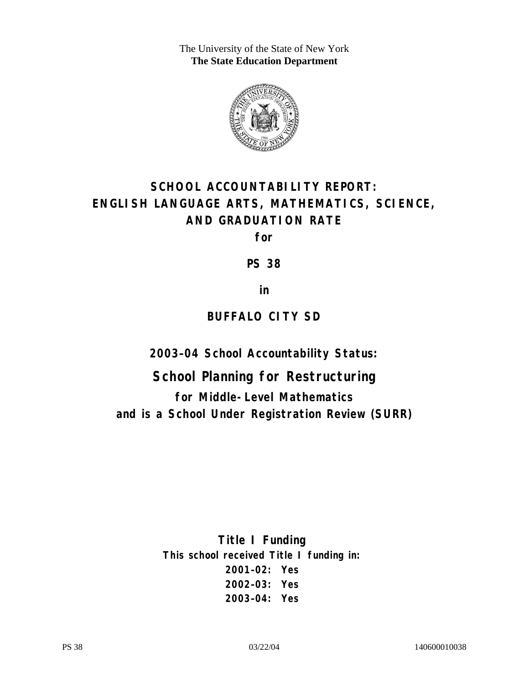The University of the State of New York **The State Education Department** 



# **SCHOOL ACCOUNTABILITY REPORT: ENGLISH LANGUAGE ARTS, MATHEMATICS, SCIENCE, AND GRADUATION RATE**

**for** 

**PS 38** 

**in** 

## **BUFFALO CITY SD**

**2003–04 School Accountability Status:** 

**School Planning for Restructuring for Middle-Level Mathematics and is a School Under Registration Review (SURR)**

> **Title I Funding This school received Title I funding in: 2001–02: Yes 2002–03: Yes 2003–04: Yes**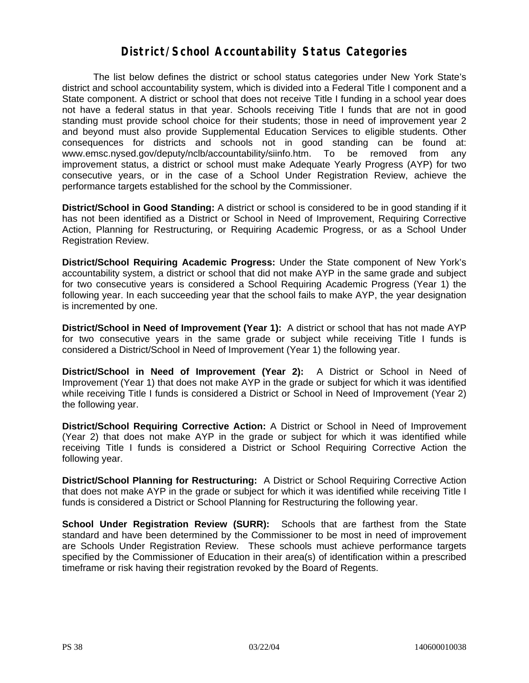#### **District/School Accountability Status Categories**

The list below defines the district or school status categories under New York State's district and school accountability system, which is divided into a Federal Title I component and a State component. A district or school that does not receive Title I funding in a school year does not have a federal status in that year. Schools receiving Title I funds that are not in good standing must provide school choice for their students; those in need of improvement year 2 and beyond must also provide Supplemental Education Services to eligible students. Other consequences for districts and schools not in good standing can be found at: www.emsc.nysed.gov/deputy/nclb/accountability/siinfo.htm. To be removed from any improvement status, a district or school must make Adequate Yearly Progress (AYP) for two consecutive years, or in the case of a School Under Registration Review, achieve the performance targets established for the school by the Commissioner.

**District/School in Good Standing:** A district or school is considered to be in good standing if it has not been identified as a District or School in Need of Improvement, Requiring Corrective Action, Planning for Restructuring, or Requiring Academic Progress, or as a School Under Registration Review.

**District/School Requiring Academic Progress:** Under the State component of New York's accountability system, a district or school that did not make AYP in the same grade and subject for two consecutive years is considered a School Requiring Academic Progress (Year 1) the following year. In each succeeding year that the school fails to make AYP, the year designation is incremented by one.

**District/School in Need of Improvement (Year 1):** A district or school that has not made AYP for two consecutive years in the same grade or subject while receiving Title I funds is considered a District/School in Need of Improvement (Year 1) the following year.

**District/School in Need of Improvement (Year 2):** A District or School in Need of Improvement (Year 1) that does not make AYP in the grade or subject for which it was identified while receiving Title I funds is considered a District or School in Need of Improvement (Year 2) the following year.

**District/School Requiring Corrective Action:** A District or School in Need of Improvement (Year 2) that does not make AYP in the grade or subject for which it was identified while receiving Title I funds is considered a District or School Requiring Corrective Action the following year.

**District/School Planning for Restructuring:** A District or School Requiring Corrective Action that does not make AYP in the grade or subject for which it was identified while receiving Title I funds is considered a District or School Planning for Restructuring the following year.

**School Under Registration Review (SURR):** Schools that are farthest from the State standard and have been determined by the Commissioner to be most in need of improvement are Schools Under Registration Review. These schools must achieve performance targets specified by the Commissioner of Education in their area(s) of identification within a prescribed timeframe or risk having their registration revoked by the Board of Regents.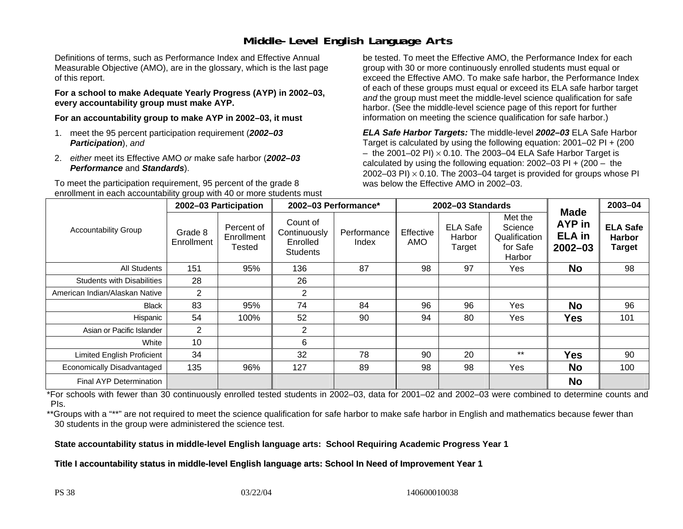### **Middle-Level English Language Arts**

Definitions of terms, such as Performance Index and Effective Annual Measurable Objective (AMO), are in the glossary, which is the last page of this report.

**For a school to make Adequate Yearly Progress (AYP) in 2002–03, every accountability group must make AYP.** 

**For an accountability group to make AYP in 2002–03, it must** 

- 1. meet the 95 percent participation requirement (*2002–03 Participation*), *and*
- 2. *either* meet its Effective AMO *or* make safe harbor (*2002–03 Performance* and *Standards*).

To meet the participation requirement, 95 percent of the grade 8 enrollment in each accountability group with 40 or more students must

be tested. To meet the Effective AMO, the Performance Index for each group with 30 or more continuously enrolled students must equal or exceed the Effective AMO. To make safe harbor, the Performance Index of each of these groups must equal or exceed its ELA safe harbor target *and* the group must meet the middle-level science qualification for safe harbor. (See the middle-level science page of this report for further information on meeting the science qualification for safe harbor.)

*ELA Safe Harbor Targets:* The middle-level *2002–03* ELA Safe Harbor Target is calculated by using the following equation: 2001–02 PI + (200  $-$  the 2001–02 PI)  $\times$  0.10. The 2003–04 ELA Safe Harbor Target is  $\,$ calculated by using the following equation:  $2002-03$  PI +  $(200 -$  the 2002–03 PI)  $\times$  0.10. The 2003–04 target is provided for groups whose PI was below the Effective AMO in 2002–03.

|                                   | 2002-03 Participation |                                    | 2002-03 Performance*                                    |                      | 2002-03 Standards       |                                     |                                                           |                                                              | 2003-04                                           |
|-----------------------------------|-----------------------|------------------------------------|---------------------------------------------------------|----------------------|-------------------------|-------------------------------------|-----------------------------------------------------------|--------------------------------------------------------------|---------------------------------------------------|
| <b>Accountability Group</b>       | Grade 8<br>Enrollment | Percent of<br>Enrollment<br>Tested | Count of<br>Continuously<br>Enrolled<br><b>Students</b> | Performance<br>Index | Effective<br><b>AMO</b> | <b>ELA Safe</b><br>Harbor<br>Target | Met the<br>Science<br>Qualification<br>for Safe<br>Harbor | <b>Made</b><br><b>AYP</b> in<br><b>ELA</b> in<br>$2002 - 03$ | <b>ELA Safe</b><br><b>Harbor</b><br><b>Target</b> |
| All Students                      | 151                   | 95%                                | 136                                                     | 87                   | 98                      | 97                                  | Yes                                                       | <b>No</b>                                                    | 98                                                |
| <b>Students with Disabilities</b> | 28                    |                                    | 26                                                      |                      |                         |                                     |                                                           |                                                              |                                                   |
| American Indian/Alaskan Native    | $\overline{2}$        |                                    | $\overline{2}$                                          |                      |                         |                                     |                                                           |                                                              |                                                   |
| Black                             | 83                    | 95%                                | 74                                                      | 84                   | 96                      | 96                                  | Yes                                                       | <b>No</b>                                                    | 96                                                |
| Hispanic                          | 54                    | 100%                               | 52                                                      | 90                   | 94                      | 80                                  | Yes.                                                      | Yes                                                          | 101                                               |
| Asian or Pacific Islander         | $\overline{2}$        |                                    | 2                                                       |                      |                         |                                     |                                                           |                                                              |                                                   |
| White                             | 10                    |                                    | 6                                                       |                      |                         |                                     |                                                           |                                                              |                                                   |
| <b>Limited English Proficient</b> | 34                    |                                    | 32                                                      | 78                   | 90                      | 20                                  | $***$                                                     | <b>Yes</b>                                                   | 90                                                |
| Economically Disadvantaged        | 135                   | 96%                                | 127                                                     | 89                   | 98                      | 98                                  | <b>Yes</b>                                                | <b>No</b>                                                    | 100                                               |
| <b>Final AYP Determination</b>    |                       |                                    |                                                         |                      |                         |                                     |                                                           | <b>No</b>                                                    |                                                   |

\*For schools with fewer than 30 continuously enrolled tested students in 2002–03, data for 2001–02 and 2002–03 were combined to determine counts and PIs.

\*\*Groups with a "\*\*" are not required to meet the science qualification for safe harbor to make safe harbor in English and mathematics because fewer than 30 students in the group were administered the science test.

**State accountability status in middle-level English language arts: School Requiring Academic Progress Year 1** 

Title I accountability status in middle-level English language arts: School In Need of Improvement Year 1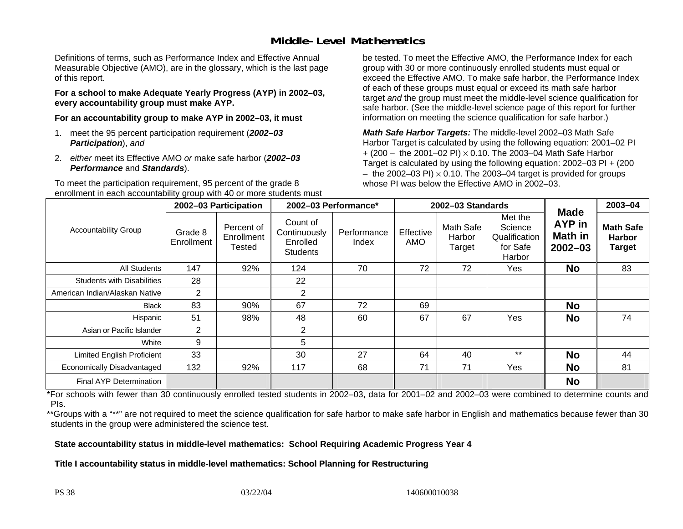### **Middle-Level Mathematics**

Definitions of terms, such as Performance Index and Effective Annual Measurable Objective (AMO), are in the glossary, which is the last page of this report.

**For a school to make Adequate Yearly Progress (AYP) in 2002–03, every accountability group must make AYP.** 

**For an accountability group to make AYP in 2002–03, it must** 

- 1. meet the 95 percent participation requirement (*2002–03 Participation*), *and*
- 2. *either* meet its Effective AMO *or* make safe harbor (*2002–03 Performance* and *Standards*).

To meet the participation requirement, 95 percent of the grade 8 enrollment in each accountability group with 40 or more students must be tested. To meet the Effective AMO, the Performance Index for each group with 30 or more continuously enrolled students must equal or exceed the Effective AMO. To make safe harbor, the Performance Index of each of these groups must equal or exceed its math safe harbor target *and* the group must meet the middle-level science qualification for safe harbor. (See the middle-level science page of this report for further information on meeting the science qualification for safe harbor.)

*Math Safe Harbor Targets:* The middle-level 2002–03 Math Safe Harbor Target is calculated by using the following equation: 2001–02 PI + (200 – the 2001–02 PI) × 0.10. The 2003–04 Math Safe Harbor Target is calculated by using the following equation: 2002–03 PI + (200  $-$  the 2002–03 PI)  $\times$  0.10. The 2003–04 target is provided for groups whose PI was below the Effective AMO in 2002–03.

|                                   | 2002-03 Participation |                                    | 2002-03 Performance*                                    |                      | 2002-03 Standards |                               |                                                           |                                                        | $2003 - 04$                                 |
|-----------------------------------|-----------------------|------------------------------------|---------------------------------------------------------|----------------------|-------------------|-------------------------------|-----------------------------------------------------------|--------------------------------------------------------|---------------------------------------------|
| <b>Accountability Group</b>       | Grade 8<br>Enrollment | Percent of<br>Enrollment<br>Tested | Count of<br>Continuously<br>Enrolled<br><b>Students</b> | Performance<br>Index | Effective<br>AMO  | Math Safe<br>Harbor<br>Target | Met the<br>Science<br>Qualification<br>for Safe<br>Harbor | <b>Made</b><br>AYP in<br><b>Math in</b><br>$2002 - 03$ | <b>Math Safe</b><br><b>Harbor</b><br>Target |
| All Students                      | 147                   | 92%                                | 124                                                     | 70                   | 72                | 72                            | Yes                                                       | <b>No</b>                                              | 83                                          |
| <b>Students with Disabilities</b> | 28                    |                                    | 22                                                      |                      |                   |                               |                                                           |                                                        |                                             |
| American Indian/Alaskan Native    | $\overline{2}$        |                                    | $\overline{2}$                                          |                      |                   |                               |                                                           |                                                        |                                             |
| <b>Black</b>                      | 83                    | 90%                                | 67                                                      | 72                   | 69                |                               |                                                           | <b>No</b>                                              |                                             |
| Hispanic                          | 51                    | 98%                                | 48                                                      | 60                   | 67                | 67                            | Yes                                                       | <b>No</b>                                              | 74                                          |
| Asian or Pacific Islander         | $\overline{2}$        |                                    | $\overline{2}$                                          |                      |                   |                               |                                                           |                                                        |                                             |
| White                             | 9                     |                                    | 5                                                       |                      |                   |                               |                                                           |                                                        |                                             |
| <b>Limited English Proficient</b> | 33                    |                                    | 30                                                      | 27                   | 64                | 40                            | $***$                                                     | <b>No</b>                                              | 44                                          |
| Economically Disadvantaged        | 132                   | 92%                                | 117                                                     | 68                   | 71                | 71                            | Yes                                                       | <b>No</b>                                              | 81                                          |
| <b>Final AYP Determination</b>    |                       |                                    |                                                         |                      |                   |                               |                                                           | <b>No</b>                                              |                                             |

\*For schools with fewer than 30 continuously enrolled tested students in 2002–03, data for 2001–02 and 2002–03 were combined to determine counts and PIs.

\*\*Groups with a "\*\*" are not required to meet the science qualification for safe harbor to make safe harbor in English and mathematics because fewer than 30 students in the group were administered the science test.

**State accountability status in middle-level mathematics: School Requiring Academic Progress Year 4** 

Title I accountability status in middle-level mathematics: School Planning for Restructuring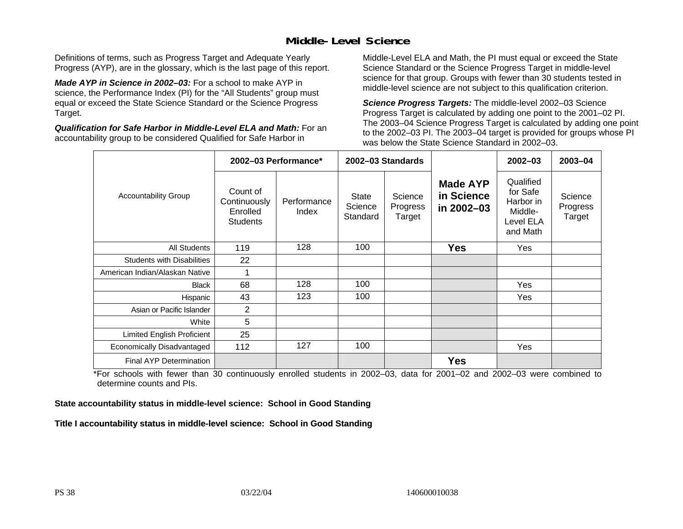### **Middle-Level Science**

Definitions of terms, such as Progress Target and Adequate Yearly Progress (AYP), are in the glossary, which is the last page of this report.

*Made AYP in Science in 2002–03:* For a school to make AYP in science, the Performance Index (PI) for the "All Students" group must equal or exceed the State Science Standard or the Science Progress Target.

*Qualification for Safe Harbor in Middle-Level ELA and Math:* For an accountability group to be considered Qualified for Safe Harbor in

Middle-Level ELA and Math, the PI must equal or exceed the State Science Standard or the Science Progress Target in middle-level science for that group. Groups with fewer than 30 students tested in middle-level science are not subject to this qualification criterion.

*Science Progress Targets:* The middle-level 2002–03 Science Progress Target is calculated by adding one point to the 2001–02 PI. The 2003–04 Science Progress Target is calculated by adding one point to the 2002–03 PI. The 2003–04 target is provided for groups whose PI was below the State Science Standard in 2002–03.

|                                   | 2002-03 Performance*                                    |                      | 2002-03 Standards            |                               |                                             | $2002 - 03$                                                            | 2003-04                       |
|-----------------------------------|---------------------------------------------------------|----------------------|------------------------------|-------------------------------|---------------------------------------------|------------------------------------------------------------------------|-------------------------------|
| <b>Accountability Group</b>       | Count of<br>Continuously<br>Enrolled<br><b>Students</b> | Performance<br>Index | State<br>Science<br>Standard | Science<br>Progress<br>Target | <b>Made AYP</b><br>in Science<br>in 2002-03 | Qualified<br>for Safe<br>Harbor in<br>Middle-<br>Level ELA<br>and Math | Science<br>Progress<br>Target |
| <b>All Students</b>               | 119                                                     | 128                  | 100                          |                               | <b>Yes</b>                                  | Yes                                                                    |                               |
| <b>Students with Disabilities</b> | 22                                                      |                      |                              |                               |                                             |                                                                        |                               |
| American Indian/Alaskan Native    | 1                                                       |                      |                              |                               |                                             |                                                                        |                               |
| <b>Black</b>                      | 68                                                      | 128                  | 100                          |                               |                                             | Yes                                                                    |                               |
| Hispanic                          | 43                                                      | 123                  | 100                          |                               |                                             | Yes                                                                    |                               |
| Asian or Pacific Islander         | 2                                                       |                      |                              |                               |                                             |                                                                        |                               |
| White                             | 5                                                       |                      |                              |                               |                                             |                                                                        |                               |
| Limited English Proficient        | 25                                                      |                      |                              |                               |                                             |                                                                        |                               |
| Economically Disadvantaged        | 112                                                     | 127                  | 100                          |                               |                                             | Yes                                                                    |                               |
| <b>Final AYP Determination</b>    |                                                         |                      |                              |                               | <b>Yes</b>                                  |                                                                        |                               |

\*For schools with fewer than 30 continuously enrolled students in 2002–03, data for 2001–02 and 2002–03 were combined to determine counts and PIs.

**State accountability status in middle-level science: School in Good Standing** 

Title I accountability status in middle-level science: School in Good Standing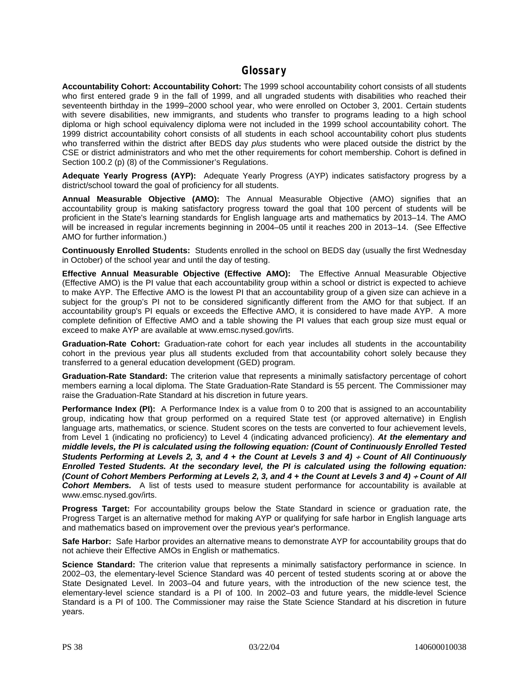#### **Glossary**

**Accountability Cohort: Accountability Cohort:** The 1999 school accountability cohort consists of all students who first entered grade 9 in the fall of 1999, and all ungraded students with disabilities who reached their seventeenth birthday in the 1999–2000 school year, who were enrolled on October 3, 2001. Certain students with severe disabilities, new immigrants, and students who transfer to programs leading to a high school diploma or high school equivalency diploma were not included in the 1999 school accountability cohort. The 1999 district accountability cohort consists of all students in each school accountability cohort plus students who transferred within the district after BEDS day *plus* students who were placed outside the district by the CSE or district administrators and who met the other requirements for cohort membership. Cohort is defined in Section 100.2 (p) (8) of the Commissioner's Regulations.

**Adequate Yearly Progress (AYP):** Adequate Yearly Progress (AYP) indicates satisfactory progress by a district/school toward the goal of proficiency for all students.

**Annual Measurable Objective (AMO):** The Annual Measurable Objective (AMO) signifies that an accountability group is making satisfactory progress toward the goal that 100 percent of students will be proficient in the State's learning standards for English language arts and mathematics by 2013–14. The AMO will be increased in regular increments beginning in 2004–05 until it reaches 200 in 2013–14. (See Effective AMO for further information.)

**Continuously Enrolled Students:** Students enrolled in the school on BEDS day (usually the first Wednesday in October) of the school year and until the day of testing.

**Effective Annual Measurable Objective (Effective AMO):** The Effective Annual Measurable Objective (Effective AMO) is the PI value that each accountability group within a school or district is expected to achieve to make AYP. The Effective AMO is the lowest PI that an accountability group of a given size can achieve in a subject for the group's PI not to be considered significantly different from the AMO for that subject. If an accountability group's PI equals or exceeds the Effective AMO, it is considered to have made AYP. A more complete definition of Effective AMO and a table showing the PI values that each group size must equal or exceed to make AYP are available at www.emsc.nysed.gov/irts.

**Graduation-Rate Cohort:** Graduation-rate cohort for each year includes all students in the accountability cohort in the previous year plus all students excluded from that accountability cohort solely because they transferred to a general education development (GED) program.

**Graduation-Rate Standard:** The criterion value that represents a minimally satisfactory percentage of cohort members earning a local diploma. The State Graduation-Rate Standard is 55 percent. The Commissioner may raise the Graduation-Rate Standard at his discretion in future years.

**Performance Index (PI):** A Performance Index is a value from 0 to 200 that is assigned to an accountability group, indicating how that group performed on a required State test (or approved alternative) in English language arts, mathematics, or science. Student scores on the tests are converted to four achievement levels, from Level 1 (indicating no proficiency) to Level 4 (indicating advanced proficiency). *At the elementary and middle levels, the PI is calculated using the following equation: (Count of Continuously Enrolled Tested Students Performing at Levels 2, 3, and 4 + the Count at Levels 3 and 4) + Count of All Continuously Enrolled Tested Students. At the secondary level, the PI is calculated using the following equation: (Count of Cohort Members Performing at Levels 2, 3, and 4 + the Count at Levels 3 and 4) + Count of All Cohort Members.* A list of tests used to measure student performance for accountability is available at www.emsc.nysed.gov/irts.

**Progress Target:** For accountability groups below the State Standard in science or graduation rate, the Progress Target is an alternative method for making AYP or qualifying for safe harbor in English language arts and mathematics based on improvement over the previous year's performance.

**Safe Harbor:** Safe Harbor provides an alternative means to demonstrate AYP for accountability groups that do not achieve their Effective AMOs in English or mathematics.

**Science Standard:** The criterion value that represents a minimally satisfactory performance in science. In 2002–03, the elementary-level Science Standard was 40 percent of tested students scoring at or above the State Designated Level. In 2003–04 and future years, with the introduction of the new science test, the elementary-level science standard is a PI of 100. In 2002–03 and future years, the middle-level Science Standard is a PI of 100. The Commissioner may raise the State Science Standard at his discretion in future years.